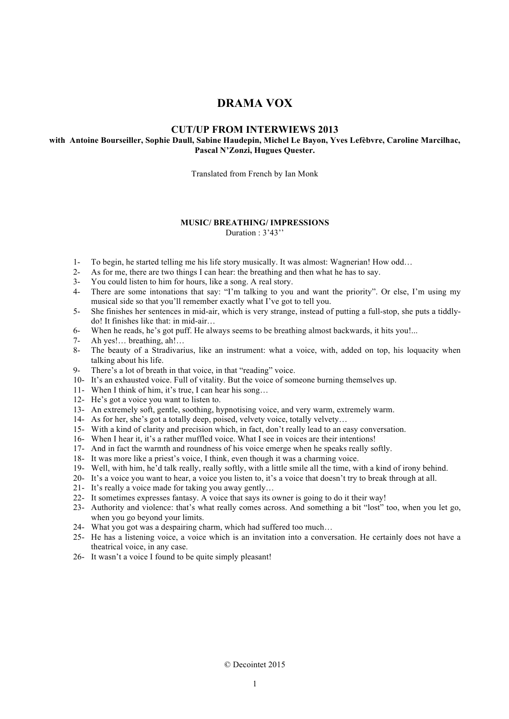# **DRAMA VOX**

## **CUT/UP FROM INTERWIEWS 2013**

## **with Antoine Bourseiller, Sophie Daull, Sabine Haudepin, Michel Le Bayon, Yves Lefèbvre, Caroline Marcilhac, Pascal N'Zonzi, Hugues Quester.**

Translated from French by Ian Monk

### **MUSIC/ BREATHING/ IMPRESSIONS**

Duration : 3'43"

- 1- To begin, he started telling me his life story musically. It was almost: Wagnerian! How odd…
- 2- As for me, there are two things I can hear: the breathing and then what he has to say.
- 3- You could listen to him for hours, like a song. A real story.
- 4- There are some intonations that say: "I'm talking to you and want the priority". Or else, I'm using my musical side so that you'll remember exactly what I've got to tell you.
- 5- She finishes her sentences in mid-air, which is very strange, instead of putting a full-stop, she puts a tiddlydo! It finishes like that: in mid-air…
- 6- When he reads, he's got puff. He always seems to be breathing almost backwards, it hits you!...<br>7- Ah yes!... breathing, ah!...
- Ah yes!… breathing, ah!…
- 8- The beauty of a Stradivarius, like an instrument: what a voice, with, added on top, his loquacity when talking about his life.
- 9- There's a lot of breath in that voice, in that "reading" voice.
- 10- It's an exhausted voice. Full of vitality. But the voice of someone burning themselves up.
- 11- When I think of him, it's true, I can hear his song…
- 12- He's got a voice you want to listen to.
- 13- An extremely soft, gentle, soothing, hypnotising voice, and very warm, extremely warm.
- 14- As for her, she's got a totally deep, poised, velvety voice, totally velvety…
- 15- With a kind of clarity and precision which, in fact, don't really lead to an easy conversation.
- 16- When I hear it, it's a rather muffled voice. What I see in voices are their intentions!
- 17- And in fact the warmth and roundness of his voice emerge when he speaks really softly.
- 18- It was more like a priest's voice, I think, even though it was a charming voice.
- 19- Well, with him, he'd talk really, really softly, with a little smile all the time, with a kind of irony behind.
- 20- It's a voice you want to hear, a voice you listen to, it's a voice that doesn't try to break through at all.
- 21- It's really a voice made for taking you away gently…
- 22- It sometimes expresses fantasy. A voice that says its owner is going to do it their way!
- 23- Authority and violence: that's what really comes across. And something a bit "lost" too, when you let go, when you go beyond your limits.
- 24- What you got was a despairing charm, which had suffered too much…
- 25- He has a listening voice, a voice which is an invitation into a conversation. He certainly does not have a theatrical voice, in any case.
- 26- It wasn't a voice I found to be quite simply pleasant!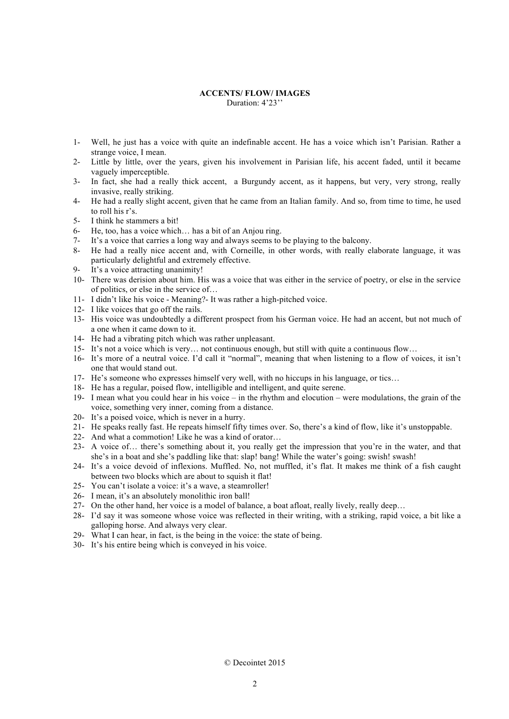#### **ACCENTS/ FLOW/ IMAGES** Duration: 4'23''

- 1- Well, he just has a voice with quite an indefinable accent. He has a voice which isn't Parisian. Rather a strange voice, I mean.
- 2- Little by little, over the years, given his involvement in Parisian life, his accent faded, until it became vaguely imperceptible.
- 3- In fact, she had a really thick accent, a Burgundy accent, as it happens, but very, very strong, really invasive, really striking.
- 4- He had a really slight accent, given that he came from an Italian family. And so, from time to time, he used to roll his r's.
- 5- I think he stammers a bit!
- 6- He, too, has a voice which... has a bit of an Anjou ring.<br>7- It's a voice that carries a long way and always seems to
- It's a voice that carries a long way and always seems to be playing to the balcony.
- 8- He had a really nice accent and, with Corneille, in other words, with really elaborate language, it was particularly delightful and extremely effective.
- 9- It's a voice attracting unanimity!
- 10- There was derision about him. His was a voice that was either in the service of poetry, or else in the service of politics, or else in the service of…
- 11- I didn't like his voice Meaning?- It was rather a high-pitched voice.
- 12- I like voices that go off the rails.
- 13- His voice was undoubtedly a different prospect from his German voice. He had an accent, but not much of a one when it came down to it.
- 14- He had a vibrating pitch which was rather unpleasant.
- 15- It's not a voice which is very… not continuous enough, but still with quite a continuous flow…
- 16- It's more of a neutral voice. I'd call it "normal", meaning that when listening to a flow of voices, it isn't one that would stand out.
- 17- He's someone who expresses himself very well, with no hiccups in his language, or tics…
- 18- He has a regular, poised flow, intelligible and intelligent, and quite serene.
- 19- I mean what you could hear in his voice in the rhythm and elocution were modulations, the grain of the voice, something very inner, coming from a distance.
- 20- It's a poised voice, which is never in a hurry.
- 21- He speaks really fast. He repeats himself fifty times over. So, there's a kind of flow, like it's unstoppable.
- 22- And what a commotion! Like he was a kind of orator…
- 23- A voice of… there's something about it, you really get the impression that you're in the water, and that she's in a boat and she's paddling like that: slap! bang! While the water's going: swish! swash!
- 24- It's a voice devoid of inflexions. Muffled. No, not muffled, it's flat. It makes me think of a fish caught between two blocks which are about to squish it flat!
- 25- You can't isolate a voice: it's a wave, a steamroller!
- 26- I mean, it's an absolutely monolithic iron ball!
- 27- On the other hand, her voice is a model of balance, a boat afloat, really lively, really deep…
- 28- I'd say it was someone whose voice was reflected in their writing, with a striking, rapid voice, a bit like a galloping horse. And always very clear.
- 29- What I can hear, in fact, is the being in the voice: the state of being.
- 30- It's his entire being which is conveyed in his voice.